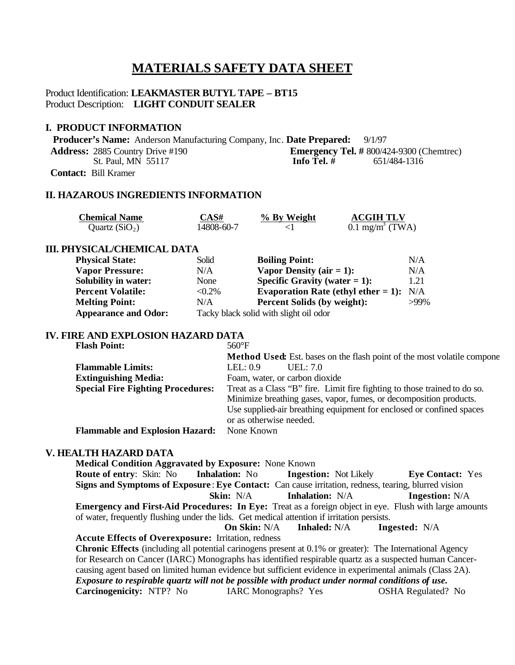# **MATERIALS SAFETY DATA SHEET**

# Product Identification: **LEAKMASTER BUTYL TAPE – BT15** Product Description: **LIGHT CONDUIT SEALER**

### **I. PRODUCT INFORMATION**

 **Producer's Name:** Anderson Manufacturing Company, Inc. **Date Prepared:** 9/1/97 **Address:** 2885 Country Drive #190 **Emergency Tel. #** 800/424-9300 (Chemtrec)<br>St. Paul. MN 55117 **Info Tel. #** 651/484-1316 **St. Paul, MN 55117 Contact:** Bill Kramer

# **II. HAZAROUS INGREDIENTS INFORMATION**

| <b>Chemical Name</b> | $\mathbb{C}\mathrm{AS}\#$ | % By Weight | <b>ACGIH TLV</b>              |
|----------------------|---------------------------|-------------|-------------------------------|
| Quartz $(SiO2)$      | 14808-60-7                |             | $0.1$ mg/m <sup>3</sup> (TWA) |

# **III. PHYSICAL/CHEMICAL DATA**

| <b>Physical State:</b>      | Solid                                  | <b>Boiling Point:</b>                  | N/A     |
|-----------------------------|----------------------------------------|----------------------------------------|---------|
| <b>Vapor Pressure:</b>      | N/A                                    | Vapor Density (air $= 1$ ):            | N/A     |
| <b>Solubility in water:</b> | None                                   | Specific Gravity (water $= 1$ ):       | 1.21    |
| <b>Percent Volatile:</b>    | $< 0.2\%$                              | Evaporation Rate (ethyl ether $= 1$ ): | N/A     |
| <b>Melting Point:</b>       | N/A                                    | <b>Percent Solids (by weight):</b>     | $>99\%$ |
| <b>Appearance and Odor:</b> | Tacky black solid with slight oil odor |                                        |         |

#### **IV. FIRE AND EXPLOSION HAZARD DATA**

| <b>Flash Point:</b>                      | $560^{\circ}F$                                                                 |  |
|------------------------------------------|--------------------------------------------------------------------------------|--|
|                                          | <b>Method Used:</b> Est. bases on the flash point of the most volatile compone |  |
| <b>Flammable Limits:</b>                 | LEL: $0.9$<br>UEL: $7.0$                                                       |  |
| <b>Extinguishing Media:</b>              | Foam, water, or carbon dioxide                                                 |  |
| <b>Special Fire Fighting Procedures:</b> | Treat as a Class "B" fire. Limit fire fighting to those trained to do so.      |  |
|                                          | Minimize breathing gases, vapor, fumes, or decomposition products.             |  |
|                                          | Use supplied-air breathing equipment for enclosed or confined spaces           |  |
|                                          | or as otherwise needed.                                                        |  |
| <b>Flammable and Explosion Hazard:</b>   | None Known                                                                     |  |

## **V. HEALTH HAZARD DATA**

**Medical Condition Aggravated by Exposure:** None Known **Route of entry**: Skin: No **Inhalation:** No **Ingestion:** Not Likely **Eye Contact:** Yes **Signs and Symptoms of Exposure** : **Eye Contact:** Can cause irritation, redness, tearing, blurred vision **Skin:** N/A **Inhalation:** N/A **Ingestion:** N/A **Emergency and First-Aid Procedures: In Eye:** Treat as a foreign object in eye. Flush with large amounts of water, frequently flushing under the lids. Get medical attention if irritation persists. **On Skin:** N/A **Inhaled:** N/A **Ingested:** N/A **Accute Effects of Overexposure:** Irritation, redness **Chronic Effects** (including all potential carinogens present at 0.1% or greater): The International Agency for Research on Cancer (IARC) Monographs has identified respirable quartz as a suspected human Cancercausing agent based on limited human evidence but sufficient evidence in experimental animals (Class 2A). *Exposure to respirable quartz will not be possible with product under normal conditions of use.* **Carcinogenicity:** NTP? No IARC Monographs? Yes OSHA Regulated? No